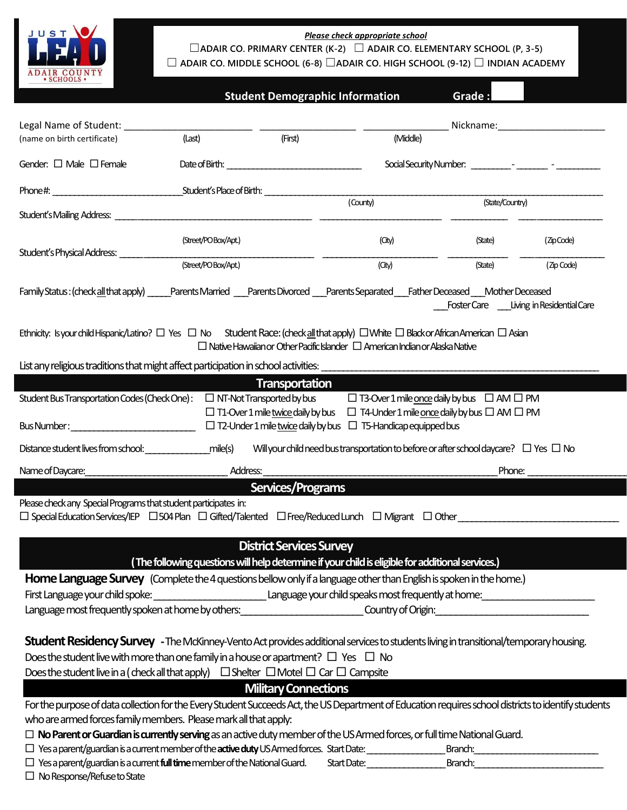

L

*Please check appropriate school*

☐**ADAIR CO. PRIMARY CENTER (K-2)** ☐ **ADAIR CO. ELEMENTARY SCHOOL (P, 3-5)**

☐ **ADAIR CO. MIDDLE SCHOOL (6-8)** ☐**ADAIR CO. HIGH SCHOOL (9-12)** ☐ **INDIAN ACADEMY**

|  |  | <b>Student Demographic Information</b> | <b>Grade:</b> |
|--|--|----------------------------------------|---------------|
|--|--|----------------------------------------|---------------|

| Legal Name of Student: ____________                                                                                                                                                                                                                                                                                     |                      |                                 |                                                                                                       |                                        | Nickname: Nickname: |
|-------------------------------------------------------------------------------------------------------------------------------------------------------------------------------------------------------------------------------------------------------------------------------------------------------------------------|----------------------|---------------------------------|-------------------------------------------------------------------------------------------------------|----------------------------------------|---------------------|
| (name on birth certificate)                                                                                                                                                                                                                                                                                             | (Last)               | (First)                         | (Middle)                                                                                              |                                        |                     |
| Gender: □ Male □ Female                                                                                                                                                                                                                                                                                                 |                      |                                 |                                                                                                       |                                        |                     |
|                                                                                                                                                                                                                                                                                                                         |                      |                                 |                                                                                                       |                                        |                     |
|                                                                                                                                                                                                                                                                                                                         |                      |                                 | (County)                                                                                              | (State/Country)                        |                     |
| Student's Physical Address:                                                                                                                                                                                                                                                                                             | (Street/PO Box/Apt.) |                                 | (City)                                                                                                | (State)                                | (ZipCode)           |
|                                                                                                                                                                                                                                                                                                                         | (Street/PO Box/Apt.) |                                 | (City)                                                                                                | (State)                                | (Zip Code)          |
| Family Status: (check all that apply) enterts Married Parents Divorced Parents Separated Father Deceased Mother Deceased                                                                                                                                                                                                |                      |                                 |                                                                                                       | Foster Care Living in Residential Care |                     |
| Ethnicity: Isyour child Hispanic/Latino? $\Box$ Yes $\Box$ No Student Race: (check all that apply) $\Box$ White $\Box$ Blackor African American $\Box$ Asian                                                                                                                                                            |                      |                                 | $\Box$ Native Hawaiian or Other Pacific Islander $\Box$ American Indian or Alaska Native              |                                        |                     |
| List any religious traditions that might affect participation in school activities:                                                                                                                                                                                                                                     |                      |                                 |                                                                                                       |                                        |                     |
|                                                                                                                                                                                                                                                                                                                         |                      | <b>Transportation</b>           |                                                                                                       |                                        |                     |
| Student Bus Transportation Codes (Check One): $\Box$ NT-Not Transported by bus $\Box$ T3-Over 1 mile <u>once</u> daily by bus $\Box$ AM $\Box$ PM                                                                                                                                                                       |                      |                                 |                                                                                                       |                                        |                     |
|                                                                                                                                                                                                                                                                                                                         |                      |                                 | $\Box$ T1-Over 1 mile twice daily by bus $\Box$ T4-Under 1 mile once daily by bus $\Box$ AM $\Box$ PM |                                        |                     |
|                                                                                                                                                                                                                                                                                                                         |                      |                                 |                                                                                                       |                                        |                     |
| Distance student lives from school: mile(s)                                                                                                                                                                                                                                                                             |                      |                                 | Will your child need bus transportation to before or after school daycare? $\Box$ Yes $\Box$ No       |                                        |                     |
| Name of Daycare:                                                                                                                                                                                                                                                                                                        | Address:             |                                 |                                                                                                       | Phone:                                 |                     |
|                                                                                                                                                                                                                                                                                                                         |                      | Services/Programs               |                                                                                                       |                                        |                     |
|                                                                                                                                                                                                                                                                                                                         |                      |                                 |                                                                                                       |                                        |                     |
|                                                                                                                                                                                                                                                                                                                         |                      |                                 |                                                                                                       |                                        |                     |
|                                                                                                                                                                                                                                                                                                                         |                      |                                 |                                                                                                       |                                        |                     |
|                                                                                                                                                                                                                                                                                                                         |                      |                                 |                                                                                                       |                                        |                     |
|                                                                                                                                                                                                                                                                                                                         |                      | <b>District Services Survey</b> |                                                                                                       |                                        |                     |
|                                                                                                                                                                                                                                                                                                                         |                      |                                 | (The following questions will help determine if your child is eligible for additional services.)      |                                        |                     |
| Home Language Survey (Complete the 4 questions bellow only if a language other than English is spoken in the home.)                                                                                                                                                                                                     |                      |                                 |                                                                                                       |                                        |                     |
| First Language your child spoke:                                                                                                                                                                                                                                                                                        |                      |                                 | Language your child speaks most frequently at home: ____________________________                      |                                        |                     |
| Language most frequently spoken at home by others: Country of Origin:                                                                                                                                                                                                                                                   |                      |                                 |                                                                                                       |                                        |                     |
|                                                                                                                                                                                                                                                                                                                         |                      |                                 |                                                                                                       |                                        |                     |
| <b>Student Residency Survey</b> - The McKinney-Vento Act provides additional services to students living in transitional/temporary housing.                                                                                                                                                                             |                      |                                 |                                                                                                       |                                        |                     |
| Does the student live with more than one family in a house or apartment? $\Box$ Yes $\Box$ No                                                                                                                                                                                                                           |                      |                                 |                                                                                                       |                                        |                     |
| Does the student live in a (check all that apply) $\Box$ Shelter $\Box$ Motel $\Box$ Car $\Box$ Campsite                                                                                                                                                                                                                |                      |                                 |                                                                                                       |                                        |                     |
|                                                                                                                                                                                                                                                                                                                         |                      | <b>Military Connections</b>     |                                                                                                       |                                        |                     |
| For the purpose of data collection for the Every Student Succeeds Act, the US Department of Education requires school districts to identify students                                                                                                                                                                    |                      |                                 |                                                                                                       |                                        |                     |
| Please check any Special Programs that student participates in:<br>$\square$ Special Education Services/IEP $\;\;\square$ 504 Plan $\;\square$ Gifted/Talented $\;\;\square$ Free/Reduced Lunch $\;\;\square$ Migrant $\;\square$ Other $\;\square$<br>who are armed forces family members. Please mark all that apply: |                      |                                 |                                                                                                       |                                        |                     |
| $\Box$ No Parent or Guardian is currently serving as an active duty member of the US Armed forces, or full time National Guard.<br>$\Box$ Yes a parent/guardian is a current member of the <b>active duty</b> US Armed forces. Start Date:                                                                              |                      |                                 |                                                                                                       | Branch:                                |                     |

 $\Box$  No Response/Refuse to State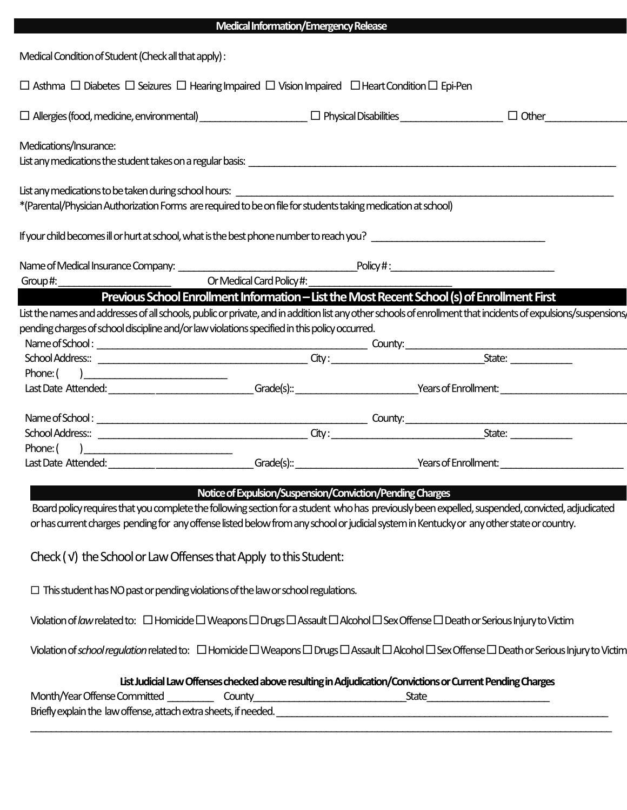| Medical Condition of Student (Check all that apply) :                                                                                                                                                                               |                                                                                              |  |              |
|-------------------------------------------------------------------------------------------------------------------------------------------------------------------------------------------------------------------------------------|----------------------------------------------------------------------------------------------|--|--------------|
| $\Box$ Asthma $\Box$ Diabetes $\Box$ Seizures $\Box$ Hearing Impaired $\Box$ Vision Impaired $\Box$ Heart Condition $\Box$ Epi-Pen                                                                                                  |                                                                                              |  |              |
|                                                                                                                                                                                                                                     |                                                                                              |  | $\Box$ Other |
| Medications/Insurance:                                                                                                                                                                                                              |                                                                                              |  |              |
| List any medications the student takes on a regular basis: \[\essimilation continuous continuous continuous co                                                                                                                      |                                                                                              |  |              |
| List any medications to be taken during school hours: https://www.chargen.com/2010/2010                                                                                                                                             |                                                                                              |  |              |
| *(Parental/Physician Authorization Forms are required to be on file for students taking medication at school)                                                                                                                       |                                                                                              |  |              |
| If your child becomes ill or hurt at school, what is the best phone number to reach you?                                                                                                                                            |                                                                                              |  |              |
|                                                                                                                                                                                                                                     |                                                                                              |  |              |
| Group#:                                                                                                                                                                                                                             | Or Medical Card Policy#:                                                                     |  |              |
|                                                                                                                                                                                                                                     | Previous School Enrollment Information - List the Most Recent School (s) of Enrollment First |  |              |
| List the names and addresses of all schools, public or private, and in addition list any other schools of enrollment that incidents of expulsions/suspensions,                                                                      |                                                                                              |  |              |
| pending charges of school discipline and/or law violations specified in this policy occurred.                                                                                                                                       |                                                                                              |  |              |
|                                                                                                                                                                                                                                     |                                                                                              |  |              |
|                                                                                                                                                                                                                                     |                                                                                              |  |              |
| Phone: $\begin{pmatrix} 1 & 1 \\ 1 & 1 \end{pmatrix}$                                                                                                                                                                               |                                                                                              |  |              |
|                                                                                                                                                                                                                                     |                                                                                              |  |              |
|                                                                                                                                                                                                                                     |                                                                                              |  |              |
|                                                                                                                                                                                                                                     |                                                                                              |  |              |
| Phone: $\begin{pmatrix} 1 & 1 \\ 1 & 1 \end{pmatrix}$                                                                                                                                                                               |                                                                                              |  |              |
| Last Date Attended: <u>Contract Communication</u> Caracters Caracters Caracters Contracted Contracted Caracters Contracted Contracted Contracted Contracted Contracted Contracted Contracted Contracted Contracted Contracted Contr |                                                                                              |  |              |
|                                                                                                                                                                                                                                     | Notice of Expulsion/Suspension/Conviction/Pending Charges                                    |  |              |
|                                                                                                                                                                                                                                     |                                                                                              |  |              |
| Board policy requires that you complete the following section for a student who has previously been expelled, suspended, convicted, adjudicated                                                                                     |                                                                                              |  |              |
| or has current charges pending for any offense listed below from any school or judicial system in Kentucky or any other state or country.                                                                                           |                                                                                              |  |              |
| Check (v) the School or Law Offenses that Apply to this Student:                                                                                                                                                                    |                                                                                              |  |              |
|                                                                                                                                                                                                                                     |                                                                                              |  |              |
| $\Box$ This student has NO past or pending violations of the law or school regulations.                                                                                                                                             |                                                                                              |  |              |

 **Medical Information/Emergency Release**

Violation of *law* related to:  $\Box$  Homicide  $\Box$  Weapons  $\Box$  Drugs  $\Box$  Assault  $\Box$  Alcohol  $\Box$  Sex Offense  $\Box$  Death or Serious Injury to Victim

Violation of *school regulation* related to:  $\Box$  Homicide  $\Box$  Weapons  $\Box$  Drugs  $\Box$  Assault  $\Box$  Alcohol  $\Box$  Sex Offense  $\Box$  Death or Serious Injury to Victim

 **List Judicial Law Offenses checked above resulting in Adjudication/Convictions or Current Pending Charges**

 $\operatorname{\mathsf{State}}$ Briefly explain the law offense, attach extra sheets, if needed. \_\_\_\_\_\_\_\_\_\_\_\_\_\_\_\_\_\_\_\_\_\_\_\_\_\_\_\_\_\_\_\_\_\_\_\_\_\_\_\_\_\_\_\_\_\_\_\_\_\_\_\_\_\_\_\_\_\_\_\_\_\_\_\_\_\_\_\_\_\_\_\_\_\_\_\_\_\_\_\_\_\_\_\_\_\_\_\_\_\_\_\_\_\_\_\_\_\_\_\_\_\_\_\_\_\_\_\_\_\_\_\_\_\_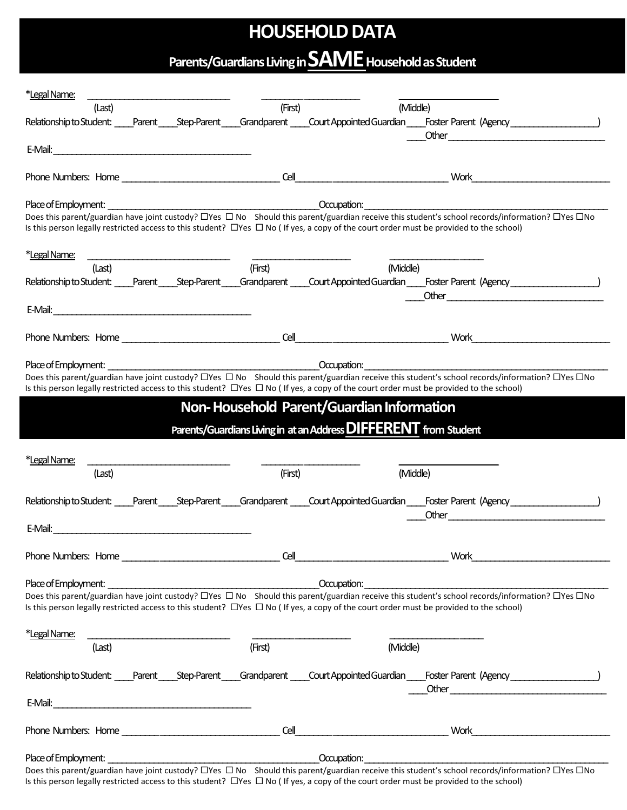## **HOUSEHOLD DATA**

# **Parents/Guardians Living in SAMEHousehold as Student**

| *Legal Name:                                                                                                                                                                                                                                                                                         |         |                                                                  |                                                                                                                                                                                                                                                                                                                                             |
|------------------------------------------------------------------------------------------------------------------------------------------------------------------------------------------------------------------------------------------------------------------------------------------------------|---------|------------------------------------------------------------------|---------------------------------------------------------------------------------------------------------------------------------------------------------------------------------------------------------------------------------------------------------------------------------------------------------------------------------------------|
| (Last)                                                                                                                                                                                                                                                                                               | (First) | (Middle)                                                         |                                                                                                                                                                                                                                                                                                                                             |
| Relationship to Student: Parent ____ Step-Parent ____ Grandparent ____ Court Appointed Guardian ____ Foster Parent (Agency _________________________                                                                                                                                                 |         |                                                                  |                                                                                                                                                                                                                                                                                                                                             |
| E-Mail:                                                                                                                                                                                                                                                                                              |         |                                                                  | Other                                                                                                                                                                                                                                                                                                                                       |
|                                                                                                                                                                                                                                                                                                      |         |                                                                  |                                                                                                                                                                                                                                                                                                                                             |
| Phone Numbers: Home                                                                                                                                                                                                                                                                                  |         |                                                                  | Work $\qquad \qquad$ $\qquad$ $\qquad$ $\qquad$ $\qquad$ $\qquad$ $\qquad$ $\qquad$ $\qquad$ $\qquad$ $\qquad$ $\qquad$ $\qquad$ $\qquad$ $\qquad$ $\qquad$ $\qquad$ $\qquad$ $\qquad$ $\qquad$ $\qquad$ $\qquad$ $\qquad$ $\qquad$ $\qquad$ $\qquad$ $\qquad$ $\qquad$ $\qquad$ $\qquad$ $\qquad$ $\qquad$ $\qquad$ $\qquad$ $\qquad$ $\q$ |
| Place of Employment:                                                                                                                                                                                                                                                                                 |         | <b>Example 2018</b> Comparison:                                  |                                                                                                                                                                                                                                                                                                                                             |
| Does this parent/guardian have joint custody? □Yes □ No Should this parent/guardian receive this student's school records/information? □Yes □No<br>Is this person legally restricted access to this student? $\Box$ Yes $\Box$ No (If yes, a copy of the court order must be provided to the school) |         |                                                                  |                                                                                                                                                                                                                                                                                                                                             |
| *Legal Name:                                                                                                                                                                                                                                                                                         |         |                                                                  |                                                                                                                                                                                                                                                                                                                                             |
| (Last)                                                                                                                                                                                                                                                                                               | (First) | (Middle)                                                         |                                                                                                                                                                                                                                                                                                                                             |
| Relationship to Student: Parent Step-Parent Grandparent Court Appointed Guardian Foster Parent (Agency National Student:                                                                                                                                                                             |         |                                                                  |                                                                                                                                                                                                                                                                                                                                             |
|                                                                                                                                                                                                                                                                                                      |         |                                                                  |                                                                                                                                                                                                                                                                                                                                             |
| E-Mail:                                                                                                                                                                                                                                                                                              |         |                                                                  |                                                                                                                                                                                                                                                                                                                                             |
| Phone Numbers: Home                                                                                                                                                                                                                                                                                  |         | $\text{Cell}$                                                    | $Work 10000$                                                                                                                                                                                                                                                                                                                                |
|                                                                                                                                                                                                                                                                                                      |         |                                                                  |                                                                                                                                                                                                                                                                                                                                             |
| Place of Employment:                                                                                                                                                                                                                                                                                 |         | Docupation:                                                      |                                                                                                                                                                                                                                                                                                                                             |
| Does this parent/guardian have joint custody? □Yes □ No Should this parent/guardian receive this student's school records/information? □Yes □No                                                                                                                                                      |         |                                                                  |                                                                                                                                                                                                                                                                                                                                             |
| Is this person legally restricted access to this student? $\Box$ Yes $\Box$ No (If yes, a copy of the court order must be provided to the school)                                                                                                                                                    |         |                                                                  |                                                                                                                                                                                                                                                                                                                                             |
|                                                                                                                                                                                                                                                                                                      |         | Non-Household Parent/Guardian Information                        |                                                                                                                                                                                                                                                                                                                                             |
|                                                                                                                                                                                                                                                                                                      |         | Parents/Guardians Living in at an Address DIFFERENT from Student |                                                                                                                                                                                                                                                                                                                                             |
|                                                                                                                                                                                                                                                                                                      |         |                                                                  |                                                                                                                                                                                                                                                                                                                                             |
| *Legal Name:                                                                                                                                                                                                                                                                                         |         |                                                                  |                                                                                                                                                                                                                                                                                                                                             |
| (Last)                                                                                                                                                                                                                                                                                               | (First) | (Middle)                                                         |                                                                                                                                                                                                                                                                                                                                             |
| Relationship to Student:                                                                                                                                                                                                                                                                             |         |                                                                  | Parent Step-Parent Grandparent Court Appointed Guardian Foster Parent (Agency                                                                                                                                                                                                                                                               |
|                                                                                                                                                                                                                                                                                                      |         |                                                                  | Other                                                                                                                                                                                                                                                                                                                                       |
| E-Mail:                                                                                                                                                                                                                                                                                              |         |                                                                  |                                                                                                                                                                                                                                                                                                                                             |
| Phone Numbers: Home                                                                                                                                                                                                                                                                                  | Cell    |                                                                  | <b>Work <i>Note</i></b>                                                                                                                                                                                                                                                                                                                     |
|                                                                                                                                                                                                                                                                                                      |         |                                                                  |                                                                                                                                                                                                                                                                                                                                             |
| Place of Employment: example and the contract of the contract of the Cocupation:<br>Does this parent/guardian have joint custody? $\Box$ Yes $\Box$ No Should this parent/guardian receive this student's school records/information? $\Box$ Yes $\Box$ No                                           |         |                                                                  |                                                                                                                                                                                                                                                                                                                                             |
| Is this person legally restricted access to this student? $\Box$ Yes $\Box$ No (If yes, a copy of the court order must be provided to the school)                                                                                                                                                    |         |                                                                  |                                                                                                                                                                                                                                                                                                                                             |
|                                                                                                                                                                                                                                                                                                      |         |                                                                  |                                                                                                                                                                                                                                                                                                                                             |
| *Legal Name:                                                                                                                                                                                                                                                                                         |         |                                                                  |                                                                                                                                                                                                                                                                                                                                             |
| (Last)                                                                                                                                                                                                                                                                                               | (First) | (Middle)                                                         |                                                                                                                                                                                                                                                                                                                                             |
| Relationship to Student: Parent Step-Parent Grandparent Court Appointed Guardian Foster Parent (Agency                                                                                                                                                                                               |         |                                                                  |                                                                                                                                                                                                                                                                                                                                             |
| E-Mail:                                                                                                                                                                                                                                                                                              |         |                                                                  |                                                                                                                                                                                                                                                                                                                                             |
|                                                                                                                                                                                                                                                                                                      |         |                                                                  |                                                                                                                                                                                                                                                                                                                                             |
| Phone Numbers: Home                                                                                                                                                                                                                                                                                  | Cell    |                                                                  | Work                                                                                                                                                                                                                                                                                                                                        |
| Place of Employment: example and the contract of the contract of the Cocupation:                                                                                                                                                                                                                     |         |                                                                  |                                                                                                                                                                                                                                                                                                                                             |
| Does this parent/guardian have joint custody? □Yes □ No Should this parent/guardian receive this student's school records/information? □Yes □No                                                                                                                                                      |         |                                                                  |                                                                                                                                                                                                                                                                                                                                             |

Is this person legally restricted access to this student?  $\Box$  Yes  $\Box$  No (If yes, a copy of the court order must be provided to the school)